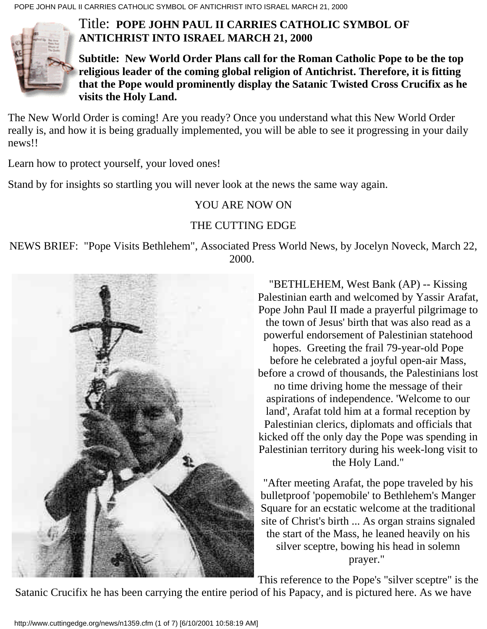

**Subtitle: New World Order Plans call for the Roman Catholic Pope to be the top religious leader of the coming global religion of Antichrist. Therefore, it is fitting that the Pope would prominently display the Satanic Twisted Cross Crucifix as he visits the Holy Land.**

The New World Order is coming! Are you ready? Once you understand what this New World Order really is, and how it is being gradually implemented, you will be able to see it progressing in your daily news!!

Learn how to protect yourself, your loved ones!

Stand by for insights so startling you will never look at the news the same way again.

## YOU ARE NOW ON

## THE CUTTING EDGE

NEWS BRIEF: "Pope Visits Bethlehem", Associated Press World News, by Jocelyn Noveck, March 22, 2000.



"BETHLEHEM, West Bank (AP) -- Kissing Palestinian earth and welcomed by Yassir Arafat, Pope John Paul II made a prayerful pilgrimage to the town of Jesus' birth that was also read as a powerful endorsement of Palestinian statehood hopes. Greeting the frail 79-year-old Pope before he celebrated a joyful open-air Mass, before a crowd of thousands, the Palestinians lost no time driving home the message of their aspirations of independence. 'Welcome to our land', Arafat told him at a formal reception by Palestinian clerics, diplomats and officials that kicked off the only day the Pope was spending in Palestinian territory during his week-long visit to the Holy Land."

"After meeting Arafat, the pope traveled by his bulletproof 'popemobile' to Bethlehem's Manger Square for an ecstatic welcome at the traditional site of Christ's birth ... As organ strains signaled the start of the Mass, he leaned heavily on his silver sceptre, bowing his head in solemn prayer."

This reference to the Pope's "silver sceptre" is the

Satanic Crucifix he has been carrying the entire period of his Papacy, and is pictured here. As we have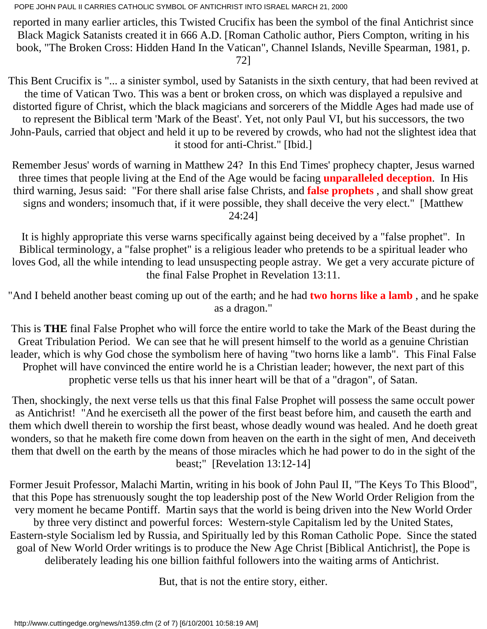reported in many earlier articles, this Twisted Crucifix has been the symbol of the final Antichrist since Black Magick Satanists created it in 666 A.D. [Roman Catholic author, Piers Compton, writing in his book, "The Broken Cross: Hidden Hand In the Vatican", Channel Islands, Neville Spearman, 1981, p. 72]

This Bent Crucifix is "... a sinister symbol, used by Satanists in the sixth century, that had been revived at the time of Vatican Two. This was a bent or broken cross, on which was displayed a repulsive and distorted figure of Christ, which the black magicians and sorcerers of the Middle Ages had made use of to represent the Biblical term 'Mark of the Beast'. Yet, not only Paul VI, but his successors, the two John-Pauls, carried that object and held it up to be revered by crowds, who had not the slightest idea that it stood for anti-Christ." [Ibid.]

Remember Jesus' words of warning in Matthew 24? In this End Times' prophecy chapter, Jesus warned three times that people living at the End of the Age would be facing **unparalleled deception**. In His third warning, Jesus said: "For there shall arise false Christs, and **false prophets** , and shall show great signs and wonders; insomuch that, if it were possible, they shall deceive the very elect." [Matthew 24:24]

It is highly appropriate this verse warns specifically against being deceived by a "false prophet". In Biblical terminology, a "false prophet" is a religious leader who pretends to be a spiritual leader who loves God, all the while intending to lead unsuspecting people astray. We get a very accurate picture of the final False Prophet in Revelation 13:11.

"And I beheld another beast coming up out of the earth; and he had **two horns like a lamb** , and he spake as a dragon."

This is **THE** final False Prophet who will force the entire world to take the Mark of the Beast during the Great Tribulation Period. We can see that he will present himself to the world as a genuine Christian leader, which is why God chose the symbolism here of having "two horns like a lamb". This Final False Prophet will have convinced the entire world he is a Christian leader; however, the next part of this prophetic verse tells us that his inner heart will be that of a "dragon", of Satan.

Then, shockingly, the next verse tells us that this final False Prophet will possess the same occult power as Antichrist! "And he exerciseth all the power of the first beast before him, and causeth the earth and them which dwell therein to worship the first beast, whose deadly wound was healed. And he doeth great wonders, so that he maketh fire come down from heaven on the earth in the sight of men, And deceiveth them that dwell on the earth by the means of those miracles which he had power to do in the sight of the beast;" [Revelation 13:12-14]

Former Jesuit Professor, Malachi Martin, writing in his book of John Paul II, "The Keys To This Blood", that this Pope has strenuously sought the top leadership post of the New World Order Religion from the very moment he became Pontiff. Martin says that the world is being driven into the New World Order by three very distinct and powerful forces: Western-style Capitalism led by the United States, Eastern-style Socialism led by Russia, and Spiritually led by this Roman Catholic Pope. Since the stated goal of New World Order writings is to produce the New Age Christ [Biblical Antichrist], the Pope is deliberately leading his one billion faithful followers into the waiting arms of Antichrist.

But, that is not the entire story, either.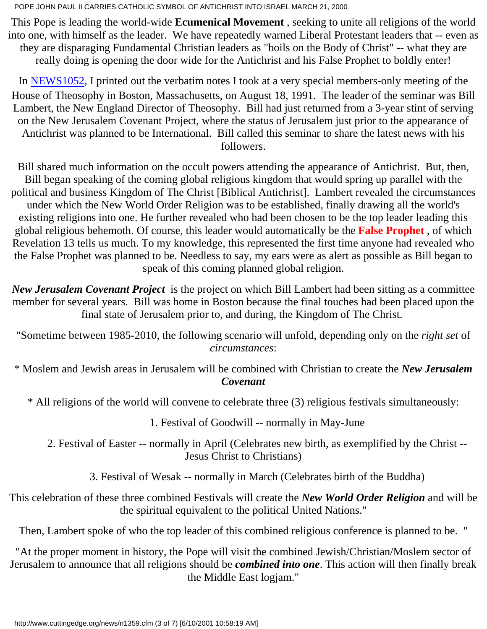This Pope is leading the world-wide **Ecumenical Movement** , seeking to unite all religions of the world into one, with himself as the leader. We have repeatedly warned Liberal Protestant leaders that -- even as they are disparaging Fundamental Christian leaders as "boils on the Body of Christ" -- what they are really doing is opening the door wide for the Antichrist and his False Prophet to boldly enter!

In [NEWS1052](http://www.cuttingedge.org/news/n1052.html), I printed out the verbatim notes I took at a very special members-only meeting of the House of Theosophy in Boston, Massachusetts, on August 18, 1991. The leader of the seminar was Bill Lambert, the New England Director of Theosophy. Bill had just returned from a 3-year stint of serving on the New Jerusalem Covenant Project, where the status of Jerusalem just prior to the appearance of Antichrist was planned to be International. Bill called this seminar to share the latest news with his followers.

Bill shared much information on the occult powers attending the appearance of Antichrist. But, then, Bill began speaking of the coming global religious kingdom that would spring up parallel with the political and business Kingdom of The Christ [Biblical Antichrist]. Lambert revealed the circumstances under which the New World Order Religion was to be established, finally drawing all the world's existing religions into one. He further revealed who had been chosen to be the top leader leading this global religious behemoth. Of course, this leader would automatically be the **False Prophet** , of which Revelation 13 tells us much. To my knowledge, this represented the first time anyone had revealed who the False Prophet was planned to be. Needless to say, my ears were as alert as possible as Bill began to speak of this coming planned global religion.

*New Jerusalem Covenant Project* is the project on which Bill Lambert had been sitting as a committee member for several years. Bill was home in Boston because the final touches had been placed upon the final state of Jerusalem prior to, and during, the Kingdom of The Christ.

"Sometime between 1985-2010, the following scenario will unfold, depending only on the *right set* of *circumstances*:

\* Moslem and Jewish areas in Jerusalem will be combined with Christian to create the *New Jerusalem Covenant*

\* All religions of the world will convene to celebrate three (3) religious festivals simultaneously:

1. Festival of Goodwill -- normally in May-June

 2. Festival of Easter -- normally in April (Celebrates new birth, as exemplified by the Christ -- Jesus Christ to Christians)

3. Festival of Wesak -- normally in March (Celebrates birth of the Buddha)

This celebration of these three combined Festivals will create the *New World Order Religion* and will be the spiritual equivalent to the political United Nations."

Then, Lambert spoke of who the top leader of this combined religious conference is planned to be. "

"At the proper moment in history, the Pope will visit the combined Jewish/Christian/Moslem sector of Jerusalem to announce that all religions should be *combined into one*. This action will then finally break the Middle East logjam."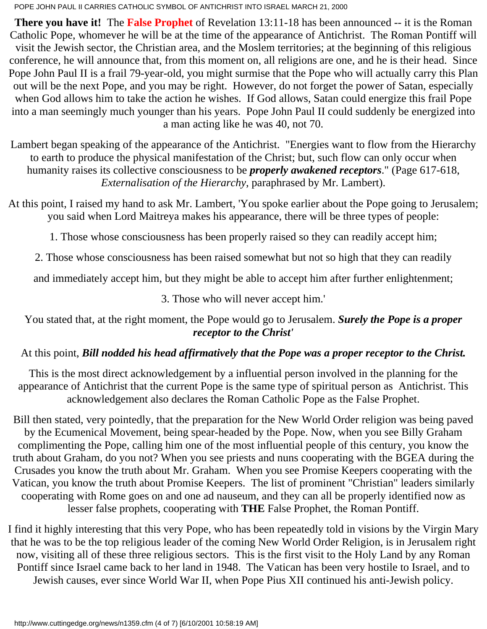**There you have it!** The **False Prophet** of Revelation 13:11-18 has been announced -- it is the Roman Catholic Pope, whomever he will be at the time of the appearance of Antichrist. The Roman Pontiff will visit the Jewish sector, the Christian area, and the Moslem territories; at the beginning of this religious conference, he will announce that, from this moment on, all religions are one, and he is their head. Since Pope John Paul II is a frail 79-year-old, you might surmise that the Pope who will actually carry this Plan out will be the next Pope, and you may be right. However, do not forget the power of Satan, especially when God allows him to take the action he wishes. If God allows, Satan could energize this frail Pope into a man seemingly much younger than his years. Pope John Paul II could suddenly be energized into a man acting like he was 40, not 70.

Lambert began speaking of the appearance of the Antichrist. "Energies want to flow from the Hierarchy to earth to produce the physical manifestation of the Christ; but, such flow can only occur when humanity raises its collective consciousness to be *properly awakened receptors*." (Page 617-618, *Externalisation of the Hierarchy*, paraphrased by Mr. Lambert).

At this point, I raised my hand to ask Mr. Lambert, 'You spoke earlier about the Pope going to Jerusalem; you said when Lord Maitreya makes his appearance, there will be three types of people:

1. Those whose consciousness has been properly raised so they can readily accept him;

2. Those whose consciousness has been raised somewhat but not so high that they can readily

and immediately accept him, but they might be able to accept him after further enlightenment;

3. Those who will never accept him.'

#### You stated that, at the right moment, the Pope would go to Jerusalem. *Surely the Pope is a proper receptor to the Christ'*

# At this point, *Bill nodded his head affirmatively that the Pope was a proper receptor to the Christ.*

This is the most direct acknowledgement by a influential person involved in the planning for the appearance of Antichrist that the current Pope is the same type of spiritual person as Antichrist. This acknowledgement also declares the Roman Catholic Pope as the False Prophet.

Bill then stated, very pointedly, that the preparation for the New World Order religion was being paved by the Ecumenical Movement, being spear-headed by the Pope. Now, when you see Billy Graham complimenting the Pope, calling him one of the most influential people of this century, you know the truth about Graham, do you not? When you see priests and nuns cooperating with the BGEA during the Crusades you know the truth about Mr. Graham. When you see Promise Keepers cooperating with the Vatican, you know the truth about Promise Keepers. The list of prominent "Christian" leaders similarly cooperating with Rome goes on and one ad nauseum, and they can all be properly identified now as lesser false prophets, cooperating with **THE** False Prophet, the Roman Pontiff.

I find it highly interesting that this very Pope, who has been repeatedly told in visions by the Virgin Mary that he was to be the top religious leader of the coming New World Order Religion, is in Jerusalem right now, visiting all of these three religious sectors. This is the first visit to the Holy Land by any Roman Pontiff since Israel came back to her land in 1948. The Vatican has been very hostile to Israel, and to Jewish causes, ever since World War II, when Pope Pius XII continued his anti-Jewish policy.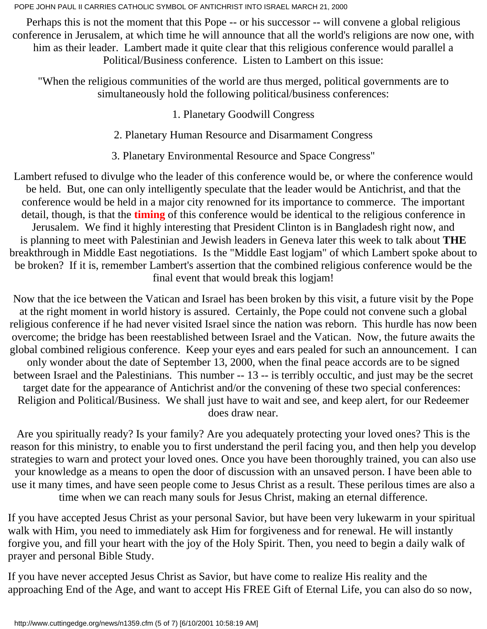Perhaps this is not the moment that this Pope -- or his successor -- will convene a global religious conference in Jerusalem, at which time he will announce that all the world's religions are now one, with him as their leader. Lambert made it quite clear that this religious conference would parallel a Political/Business conference. Listen to Lambert on this issue:

"When the religious communities of the world are thus merged, political governments are to simultaneously hold the following political/business conferences:

1. Planetary Goodwill Congress

2. Planetary Human Resource and Disarmament Congress

3. Planetary Environmental Resource and Space Congress"

Lambert refused to divulge who the leader of this conference would be, or where the conference would be held. But, one can only intelligently speculate that the leader would be Antichrist, and that the conference would be held in a major city renowned for its importance to commerce. The important detail, though, is that the **timing** of this conference would be identical to the religious conference in Jerusalem. We find it highly interesting that President Clinton is in Bangladesh right now, and is planning to meet with Palestinian and Jewish leaders in Geneva later this week to talk about **THE** breakthrough in Middle East negotiations. Is the "Middle East logjam" of which Lambert spoke about to be broken? If it is, remember Lambert's assertion that the combined religious conference would be the final event that would break this logjam!

Now that the ice between the Vatican and Israel has been broken by this visit, a future visit by the Pope at the right moment in world history is assured. Certainly, the Pope could not convene such a global religious conference if he had never visited Israel since the nation was reborn. This hurdle has now been overcome; the bridge has been reestablished between Israel and the Vatican. Now, the future awaits the global combined religious conference. Keep your eyes and ears pealed for such an announcement. I can only wonder about the date of September 13, 2000, when the final peace accords are to be signed between Israel and the Palestinians. This number -- 13 -- is terribly occultic, and just may be the secret target date for the appearance of Antichrist and/or the convening of these two special conferences: Religion and Political/Business. We shall just have to wait and see, and keep alert, for our Redeemer does draw near.

Are you spiritually ready? Is your family? Are you adequately protecting your loved ones? This is the reason for this ministry, to enable you to first understand the peril facing you, and then help you develop strategies to warn and protect your loved ones. Once you have been thoroughly trained, you can also use your knowledge as a means to open the door of discussion with an unsaved person. I have been able to use it many times, and have seen people come to Jesus Christ as a result. These perilous times are also a time when we can reach many souls for Jesus Christ, making an eternal difference.

If you have accepted Jesus Christ as your personal Savior, but have been very lukewarm in your spiritual walk with Him, you need to immediately ask Him for forgiveness and for renewal. He will instantly forgive you, and fill your heart with the joy of the Holy Spirit. Then, you need to begin a daily walk of prayer and personal Bible Study.

If you have never accepted Jesus Christ as Savior, but have come to realize His reality and the approaching End of the Age, and want to accept His FREE Gift of Eternal Life, you can also do so now,